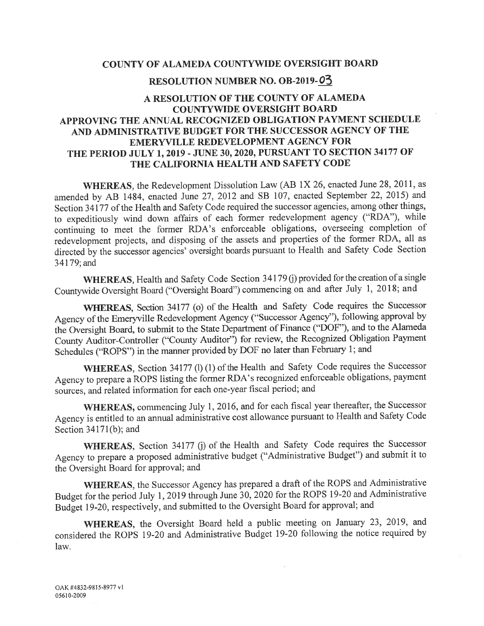#### COUNTY OF ALAMEDA COUNTYWIDE OVERSIGHT BOARD

#### RESOLUTION NUMBER NO. OB-2019-03

### A RESOLUTION OF THE COUNTY OF ALAMEDA **COUNTYWIDE OVERSIGHT BOARD** APPROVING THE ANNUAL RECOGNIZED OBLIGATION PAYMENT SCHEDULE AND ADMINISTRATIVE BUDGET FOR THE SUCCESSOR AGENCY OF THE EMERYVILLE REDEVELOPMENT AGENCY FOR THE PERIOD JULY 1, 2019 - JUNE 30, 2020, PURSUANT TO SECTION 34177 OF THE CALIFORNIA HEALTH AND SAFETY CODE

**WHEREAS**, the Redevelopment Dissolution Law (AB 1X 26, enacted June 28, 2011, as amended by AB 1484, enacted June 27, 2012 and SB 107, enacted September 22, 2015) and Section 34177 of the Health and Safety Code required the successor agencies, among other things, to expeditiously wind down affairs of each former redevelopment agency ("RDA"), while continuing to meet the former RDA's enforceable obligations, overseeing completion of redevelopment projects, and disposing of the assets and properties of the former RDA, all as directed by the successor agencies' oversight boards pursuant to Health and Safety Code Section 34179; and

WHEREAS, Health and Safety Code Section 34179 (j) provided for the creation of a single Countywide Oversight Board ("Oversight Board") commencing on and after July 1, 2018; and

WHEREAS, Section 34177 (o) of the Health and Safety Code requires the Successor Agency of the Emeryville Redevelopment Agency ("Successor Agency"), following approval by the Oversight Board, to submit to the State Department of Finance ("DOF"), and to the Alameda County Auditor-Controller ("County Auditor") for review, the Recognized Obligation Payment Schedules ("ROPS") in the manner provided by DOF no later than February 1; and

WHEREAS, Section 34177 (l) (1) of the Health and Safety Code requires the Successor Agency to prepare a ROPS listing the former RDA's recognized enforceable obligations, payment sources, and related information for each one-year fiscal period; and

WHEREAS, commencing July 1, 2016, and for each fiscal year thereafter, the Successor Agency is entitled to an annual administrative cost allowance pursuant to Health and Safety Code Section  $34171(b)$ ; and

WHEREAS, Section 34177 (j) of the Health and Safety Code requires the Successor Agency to prepare a proposed administrative budget ("Administrative Budget") and submit it to the Oversight Board for approval; and

WHEREAS, the Successor Agency has prepared a draft of the ROPS and Administrative Budget for the period July 1, 2019 through June 30, 2020 for the ROPS 19-20 and Administrative Budget 19-20, respectively, and submitted to the Oversight Board for approval; and

WHEREAS, the Oversight Board held a public meeting on January 23, 2019, and considered the ROPS 19-20 and Administrative Budget 19-20 following the notice required by law.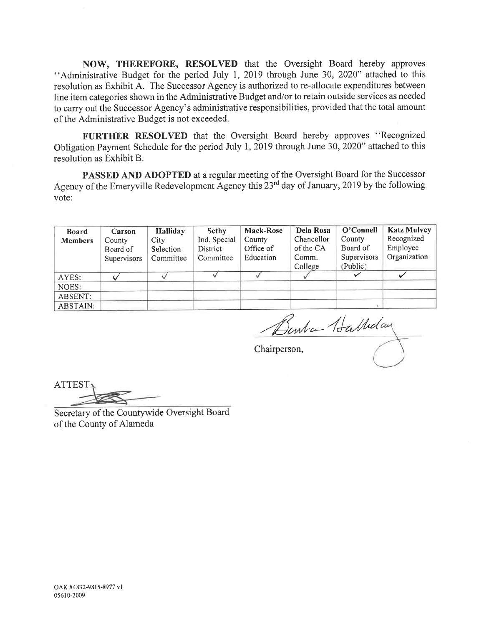NOW, THEREFORE, RESOLVED that the Oversight Board hereby approves "Administrative Budget for the period July 1, 2019 through June 30, 2020" attached to this resolution as Exhibit A. The Successor Agency is authorized to re-allocate expenditures between line item categories shown in the Administrative Budget and/or to retain outside services as needed to carry out the Successor Agency's administrative responsibilities, provided that the total amount of the Administrative Budget is not exceeded.

FURTHER RESOLVED that the Oversight Board hereby approves "Recognized Obligation Payment Schedule for the period July 1, 2019 through June 30, 2020" attached to this resolution as Exhibit B.

**PASSED AND ADOPTED** at a regular meeting of the Oversight Board for the Successor Agency of the Emeryville Redevelopment Agency this 23<sup>rd</sup> day of January, 2019 by the following vote:

| <b>Board</b>   | Carson      | <b>Halliday</b> | <b>Sethy</b> | <b>Mack-Rose</b> | Dela Rosa  | O'Connell    | <b>Katz Mulvey</b> |
|----------------|-------------|-----------------|--------------|------------------|------------|--------------|--------------------|
| <b>Members</b> | County      | City            | Ind. Special | County           | Chancellor | County       | Recognized         |
|                | Board of    | Selection       | District     | Office of        | of the CA  | Board of     | Employee           |
|                | Supervisors | Committee       | Committee    | Education        | Comm.      | Supervisors  | Organization       |
|                |             |                 |              |                  | College    | (Public)     |                    |
| AYES:          |             |                 |              |                  |            | $\checkmark$ |                    |
| NOES:          |             |                 |              |                  |            |              |                    |
| ABSENT:        |             |                 |              |                  |            |              |                    |
| ABSTAIN:       |             |                 |              |                  |            |              |                    |

Benta Hathday

Chairperson,

**ATTEST** 

Secretary of the Countywide Oversight Board of the County of Alameda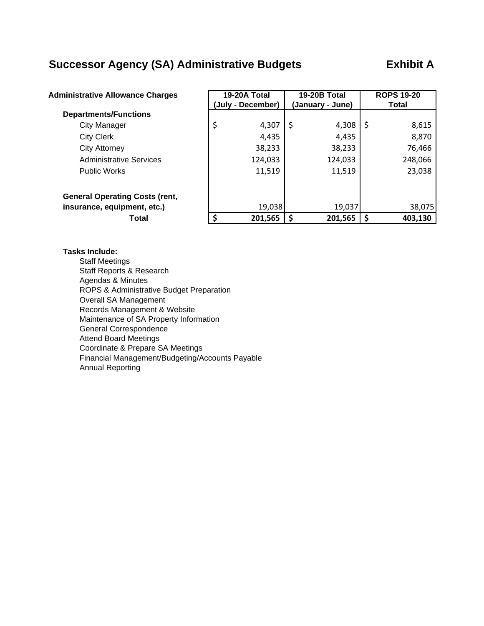### **Successor Agency (SA) Administrative Budgets Exhibit A**

| <b>Administrative Allowance Charges</b> |    | 19-20A Total<br>(July - December) | 19-20B Total<br>(January - June) | <b>ROPS 19-20</b><br><b>Total</b> |         |  |
|-----------------------------------------|----|-----------------------------------|----------------------------------|-----------------------------------|---------|--|
| <b>Departments/Functions</b>            |    |                                   |                                  |                                   |         |  |
| <b>City Manager</b>                     | \$ | 4,307                             | \$<br>4,308                      | -S                                | 8,615   |  |
| <b>City Clerk</b>                       |    | 4,435                             | 4,435                            |                                   | 8,870   |  |
| <b>City Attorney</b>                    |    | 38,233                            | 38,233                           |                                   | 76,466  |  |
| <b>Administrative Services</b>          |    | 124,033                           | 124,033                          |                                   | 248,066 |  |
| <b>Public Works</b>                     |    | 11,519                            | 11,519                           |                                   | 23,038  |  |
| <b>General Operating Costs (rent,</b>   |    |                                   |                                  |                                   |         |  |
| insurance, equipment, etc.)             |    | 19,038                            | 19,037                           |                                   | 38,075  |  |
| Total                                   | ς  | 201,565                           | 201,565                          |                                   | 403,130 |  |

#### **Tasks Include:**

Staff Meetings Staff Reports & Research Agendas & Minutes ROPS & Administrative Budget Preparation Overall SA Management Records Management & Website Maintenance of SA Property Information General Correspondence Attend Board Meetings Coordinate & Prepare SA Meetings Financial Management/Budgeting/Accounts Payable Annual Reporting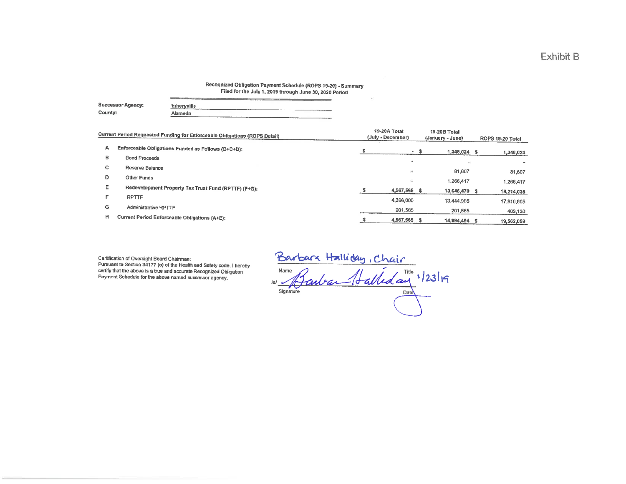#### Recognized Obligation Payment Schedule (ROPS 19-20) - Summary Filed for the July 1, 2019 through June 30, 2020 Period

|                          | have a second property and construction<br><b>STATISTICS</b><br><b>All the public control of the control of the control of the control of the control of the control of the control of the control of the control of the control of the control of the control of the control of the control of </b><br>the contract of the contract of the contract of the contract of the contract of |
|--------------------------|-----------------------------------------------------------------------------------------------------------------------------------------------------------------------------------------------------------------------------------------------------------------------------------------------------------------------------------------------------------------------------------------|
| <b>Successor Agency:</b> | Emeryville                                                                                                                                                                                                                                                                                                                                                                              |
| County:                  | Alameda<br>and the product of the first product of the                                                                                                                                                                                                                                                                                                                                  |

|    | Current Period Requested Funding for Enforceable Obligations (ROPS Detail) | 19-20A Total<br>(July - December) | 19-20B Total<br>(January - June) | ROPS 19-20 Total |            |  |
|----|----------------------------------------------------------------------------|-----------------------------------|----------------------------------|------------------|------------|--|
| А  | Enforceable Obligations Funded as Follows (B+C+D):                         | - 5                               | $1,348,024$ \$                   |                  | 1,348,024  |  |
| в  | <b>Bond Proceeds</b>                                                       | $\overline{\phantom{a}}$          |                                  |                  |            |  |
| c. | Reserve Balance                                                            | ÷                                 | 81,607                           |                  | 81,607     |  |
| D  | Other Funds                                                                | $\sim$                            | 1,266,417                        |                  | 1,266,417  |  |
| Ε  | Redevelopment Property Tax Trust Fund (RPTTF) (F+G):                       | 4,567,565 \$                      | 13,646,470                       |                  | 18,214,035 |  |
| F  | <b>RPTTF</b>                                                               | 4,366,000                         | 13,444,905                       |                  | 17,810,905 |  |
| G  | Administrative RPTTF                                                       | 201,565                           | 201,565                          |                  | 403,130    |  |
| н  | Current Period Enforceable Obligations (A+E):                              | 4,567,565 \$                      | 14,994,494                       |                  | 19,562,059 |  |

Certification of Oversight Board Chairman: Pursuant to Section 34177 (o) of the Health and Safety code, I hereby certify that the above is a true and accurate Recognized Obligation Payment Schedule for the above named successor agency.

Barbara Halliday, Chair<br>Name Gaubar (Lalleday 12319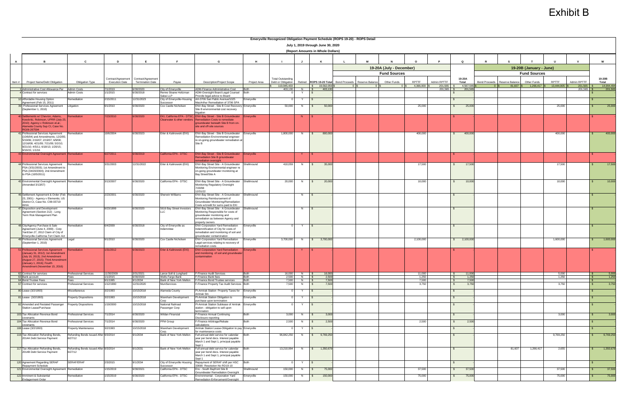|                                                                                 |                                       |                       |                                                                  |                                             |                                                                                               |                            | Emeryville Recognized Obligation Payment Schedule (ROPS 19-20) - ROPS Detail |                                    |              |                |                                        |                 |                          |                |             |                        |             |                               |                         |              |             |                 |            |
|---------------------------------------------------------------------------------|---------------------------------------|-----------------------|------------------------------------------------------------------|---------------------------------------------|-----------------------------------------------------------------------------------------------|----------------------------|------------------------------------------------------------------------------|------------------------------------|--------------|----------------|----------------------------------------|-----------------|--------------------------|----------------|-------------|------------------------|-------------|-------------------------------|-------------------------|--------------|-------------|-----------------|------------|
|                                                                                 |                                       |                       |                                                                  |                                             |                                                                                               |                            |                                                                              | July 1, 2019 through June 30, 2020 |              |                |                                        |                 |                          |                |             |                        |             |                               |                         |              |             |                 |            |
|                                                                                 |                                       |                       |                                                                  |                                             |                                                                                               |                            |                                                                              | (Report Amounts in Whole Dollars)  |              |                |                                        |                 |                          |                |             |                        |             |                               |                         |              |             |                 |            |
|                                                                                 |                                       |                       |                                                                  | <b>F</b>                                    |                                                                                               |                            |                                                                              |                                    |              |                |                                        |                 |                          |                |             |                        |             |                               |                         |              |             |                 |            |
| $\overline{B}$<br>A                                                             | $\mathbf{c}$                          | D                     | E                                                                |                                             | G                                                                                             | H                          |                                                                              | $\mathbf{J}$                       | K            |                | $\mathbf{L}$                           | M               |                          |                |             | Q                      | $\mathbf R$ |                               |                         |              |             | W               |            |
|                                                                                 |                                       |                       |                                                                  |                                             |                                                                                               |                            |                                                                              |                                    |              |                |                                        |                 | 19-20A (July - December) |                |             |                        |             |                               | 19-20B (January - June) |              |             |                 |            |
|                                                                                 |                                       |                       |                                                                  |                                             |                                                                                               |                            |                                                                              |                                    |              |                |                                        |                 | <b>Fund Sources</b>      |                |             |                        |             |                               | <b>Fund Sources</b>     |              |             |                 |            |
| Project Name/Debt Obligation<br>Item#                                           | Obligation Type                       | <b>Execution Date</b> | Contract/Agreement Contract/Agreement<br><b>Termination Date</b> | Payee                                       | <b>Description/Project Scope</b>                                                              | Project Area               | <b>Total Outstanding</b><br>Debt or Obligation                               |                                    |              |                | Retired ROPS 19-20 Total Bond Proceeds | Reserve Balance | Other Funds              | RPTTF          | Admin RPTTF | 19-20A<br>Total        |             | Bond Proceeds Reserve Balance | Other Funds             | <b>RPTTF</b> | Admin RPTTF | 19-20B<br>Total |            |
|                                                                                 |                                       |                       |                                                                  |                                             |                                                                                               |                            | 119,945,433                                                                  |                                    |              | \$ 19,562,059  |                                        |                 |                          | 4,366,000      | 201,565     | 4,567,565              |             | 81,607                        | 1,266,417               | 13,444,905   | 201,565     |                 | 14,994,494 |
| Administrative Cost Allowance Per Admin Costs<br><b>4</b> Contract for services | Admin Costs                           | 7/1/2019<br>1/1/2015  | 3/30/2020<br>3/30/2018                                           | City of Emeryville<br>Renne Sloane Holtzman | ADM-Finance Administrative Cost<br>ADM-Oversight Board Legal Counsel                          | <b>Roth</b><br><b>Both</b> | 403.130                                                                      | $N \qquad$                         |              | 403.130        |                                        |                 |                          |                | 201.565 \$  | 201.565                |             |                               |                         |              | 201.565 \$  |                 | 201,565    |
| 10 Affordable Housing Option                                                    | Remediation                           | 2/15/2011             | 12/31/2023                                                       | Sakai LLP<br>City of Emeryville-Housing     | Provide legal advice to Board<br>AH-3706 San Pablo Avenue/1025                                | Emeryville                 |                                                                              |                                    |              |                |                                        |                 |                          |                |             |                        |             |                               |                         |              |             |                 |            |
| Agreement (Feb 15, 2011)                                                        |                                       |                       |                                                                  | Successor                                   | MacArthur Remediation of 3706 SPA                                                             |                            |                                                                              |                                    |              |                |                                        |                 |                          |                |             |                        |             |                               |                         |              |             |                 |            |
| 39 Professional Services Agreement Litigation<br>(September 1, 2010)            |                                       | 9/1/2010              | 3/30/2020                                                        | Cox Castle Nicholsen                        | <b>ENV-Bay Street - Site B Cost Recovery Emeryville</b><br>Site B environmental cost recovery |                            | 50,000                                                                       | N                                  | S.           | 50,000         |                                        |                 |                          | 25,000         |             | 25,000<br>$\mathbb{S}$ |             |                               |                         | 25,000       |             |                 | 25,000     |
| 40 Settlements w/ Chevron, Adams,                                               | <b>Remediation</b>                    | 7/23/2010             | 6/30/2020                                                        |                                             | litigation<br>EKI, California EPA - DTSC, ENV-Bay Street - Site B Groundwater Emeryville      |                            |                                                                              | N                                  |              |                |                                        |                 |                          |                |             |                        |             |                               |                         |              |             |                 |            |
| Coeckritz, Robinson, UPRR (July 23,                                             |                                       |                       |                                                                  | Clearwater & other vendors                  | Remediation Costs to remediate                                                                |                            |                                                                              |                                    |              |                |                                        |                 |                          |                |             |                        |             |                               |                         |              |             |                 |            |
| 2010); Agency v Robinson et.al.;<br><b>Nameda County Sup Ct, Case No.</b>       |                                       |                       |                                                                  |                                             | groundwater beneath Site B from on-<br>site and off-site sources                              |                            |                                                                              |                                    |              |                |                                        |                 |                          |                |             |                        |             |                               |                         |              |             |                 |            |
| <b>G06-267594</b><br>41 Professional Services Agreement                         | Remediation                           | 10/6/2004             | 3/30/2023                                                        | Erler & Kalinowski (EKI)                    | ENV-Bay Street - Site B Groundwater                                                           | Emeryville                 | 1,800,000                                                                    | N                                  |              | 800,000        |                                        |                 |                          | 400,000        |             | 400,000                |             |                               |                         | 400,000      |             |                 | 400,000    |
| (10/6/04) and Amendments; 12/2/05;                                              |                                       |                       |                                                                  |                                             | Remediation Environmental engineer                                                            |                            |                                                                              |                                    |              |                |                                        |                 |                          |                |             | $\mathbb{S}$           |             |                               |                         |              |             |                 |            |
| 5/19/06; 2/16/07; 2/19/07; 6/9/08;<br>12/16/08; 4/21/09; 7/21/09; 5/2/10;       |                                       |                       |                                                                  |                                             | re on-going groundwater remediation at<br>Site B                                              |                            |                                                                              |                                    |              |                |                                        |                 |                          |                |             |                        |             |                               |                         |              |             |                 |            |
| 9/21/10; 4/5/11; 6/18/13; 1/20/15;<br>6/16/15: 1/1/16                           |                                       |                       |                                                                  |                                             |                                                                                               |                            |                                                                              |                                    |              |                |                                        |                 |                          |                |             |                        |             |                               |                         |              |             |                 |            |
| 43 Environmental Oversight Agreement Remediation                                |                                       | 6/27/2011             | 6/30/2019                                                        | California EPA - DTSC                       | <b>ENV-Bay Street - Site B Groundwater Emeryville</b>                                         |                            |                                                                              |                                    |              |                |                                        |                 |                          |                |             |                        |             |                               |                         |              |             |                 |            |
|                                                                                 |                                       |                       |                                                                  |                                             | <b>Remediation Site B groundwater</b><br>mediation oversight                                  |                            |                                                                              |                                    |              |                |                                        |                 |                          |                |             |                        |             |                               |                         |              |             |                 |            |
| 44 Professional Services Agreement<br>PSA (3/31/2003); 1st Amendment to         | emediation                            | 3/31/2003             | 12/31/2022                                                       | Erler & Kalinowski (EKI)                    | ENV-Bay Street Site - A Groundwater<br>Monitoring Environmental engineer re                   | Shellmound                 | 410,059                                                                      | N                                  | IS.          | 35,000         |                                        |                 |                          | 17,500         |             | 17,500<br>$\mathbb{S}$ |             |                               |                         | 17,500       |             |                 | 17,500     |
| PSA (04/20/2004); 2nd Amendment                                                 |                                       |                       |                                                                  |                                             | on-going groundwater monitoring at                                                            |                            |                                                                              |                                    |              |                |                                        |                 |                          |                |             |                        |             |                               |                         |              |             |                 |            |
| to PSA (10/5/2011)                                                              |                                       |                       |                                                                  |                                             | Bay Street/Site A                                                                             |                            |                                                                              |                                    |              |                |                                        |                 |                          |                |             |                        |             |                               |                         |              |             |                 |            |
| 45 Environmental Oversight Agreement Remediation                                |                                       | 3/13/2007             | 6/30/2020                                                        | California EPA - DTSC                       | ENV-Bay Street Site - A Groundwater                                                           | Shellmound                 | 20,000                                                                       | N                                  |              | 20,000         |                                        |                 |                          | 10,000         |             | 10,000<br>$\mathbb{S}$ |             |                               |                         | 10,000       |             |                 | 10,000     |
| (Amended 3/13/07)                                                               |                                       |                       |                                                                  |                                             | Monitoring Regulatory Oversight<br>7/20/98                                                    |                            |                                                                              |                                    |              |                |                                        |                 |                          |                |             |                        |             |                               |                         |              |             |                 |            |
| 46 Settlement Agreement & Order (Feb Remediation                                |                                       | 2/23/2001             | 3/30/2020                                                        | <b>Sherwin Williams</b>                     | 12/31/22<br>ENV-Bay Street Site - A Groundwater Shellmound                                    |                            |                                                                              | N                                  | $\mathsf{S}$ |                |                                        |                 |                          |                |             |                        |             |                               |                         |              |             |                 |            |
| 23, 2001) - Agency v Elementis; US                                              |                                       |                       |                                                                  |                                             | Monitoring Reimbursement of                                                                   |                            |                                                                              |                                    |              |                |                                        |                 |                          |                |             |                        |             |                               |                         |              |             |                 |            |
| District Ct, Case No. C99-03719<br><b>NHA</b>                                   |                                       |                       |                                                                  |                                             | Groundwater Monitoring/Remediation<br>Costs w/credit for sums paid to EKI                     |                            |                                                                              |                                    |              |                |                                        |                 |                          |                |             |                        |             |                               |                         |              |             |                 |            |
| 47 Disposition and Development<br>Agreement (Section 212) - Long                | Remediation                           | 9/23/1999             | 6/30/2020                                                        | 5616 Bay Street Investors<br>LL C.          | ENV-Bay Street Site - A Groundwater Shellmound<br>Monitoring Responsible for costs of         |                            |                                                                              | N                                  |              |                |                                        |                 |                          |                |             |                        |             |                               |                         |              |             |                 |            |
| Term Risk Management Plan                                                       |                                       |                       |                                                                  |                                             | groundwater monitoring and                                                                    |                            |                                                                              |                                    |              |                |                                        |                 |                          |                |             |                        |             |                               |                         |              |             |                 |            |
|                                                                                 |                                       |                       |                                                                  |                                             | remediation as between Agency and<br>property owners                                          |                            |                                                                              |                                    |              |                |                                        |                 |                          |                |             |                        |             |                               |                         |              |             |                 |            |
| 48 City/Agency Purchase & Sale<br>Agreement (June 4, 2009) - Corp               | emediation                            | 6/4/2009              | 6/30/2018                                                        | City of Emeryville as<br>Indemnitee         | <b>ENV-Corporation Yard Remediation</b><br>Indemnification of City for costs of               | Emeryville                 |                                                                              |                                    |              |                |                                        |                 |                          |                |             |                        |             |                               |                         |              |             |                 |            |
| Yard/Jan 27, 2012 Claim of City of                                              |                                       |                       |                                                                  |                                             | remediation and monitoring of soil and                                                        |                            |                                                                              |                                    |              |                |                                        |                 |                          |                |             |                        |             |                               |                         |              |             |                 |            |
| Emeryville-California Tort Claim Act<br>49 Professional Services Agreement      | Legal                                 | 9/1/2010              | 6/30/2020                                                        | Cox Castle Nicholsen                        | groundwater contamination<br><b>ENV-Corporation Yard Remediation</b>                          | Emeryville                 | 3,700,000                                                                    | N                                  | \$3,700,000  |                |                                        |                 |                          | 2,100,000      |             | \$ 2,100,000           |             |                               |                         | 1,600,000    |             |                 | 1,600,000  |
| (September 1, 2010)                                                             |                                       |                       |                                                                  |                                             | Legal services relating to recovery of<br>remediation costs                                   |                            |                                                                              |                                    |              |                |                                        |                 |                          |                |             |                        |             |                               |                         |              |             |                 |            |
| 51 Professional Services Agreement                                              | emediation                            | 1/31/2012             | 6/30/2023                                                        | Frler & Kalinowski (EKI)                    | <b>ENV-Corporation Yard Remediation</b>                                                       | Emeryville                 |                                                                              |                                    |              |                |                                        |                 |                          |                |             |                        |             |                               |                         |              |             |                 |            |
| January 31, 2012); 1st Amendment<br>July 16, 2013): 2nd Amendment               |                                       |                       |                                                                  |                                             | and monitoring of soil and groundwater<br>contamination                                       |                            |                                                                              |                                    |              |                |                                        |                 |                          |                |             |                        |             |                               |                         |              |             |                 |            |
| August 27, 2015); Third Amendment<br>January 1, 2016); Fourth                   |                                       |                       |                                                                  |                                             |                                                                                               |                            |                                                                              |                                    |              |                |                                        |                 |                          |                |             |                        |             |                               |                         |              |             |                 |            |
| mendment (November 15, 2016)                                                    |                                       |                       |                                                                  |                                             |                                                                                               |                            |                                                                              |                                    |              |                |                                        |                 |                          |                |             |                        |             |                               |                         |              |             |                 |            |
| 62 Contract for services                                                        | <b>Professional Services</b>          | 11/30/2009            | 3/31/2021                                                        | Lance Soll & Lunghard                       | F-Finance Audit Services                                                                      | Both                       | 16,000                                                                       | $N$ $S$                            |              | 16,000         |                                        |                 |                          | 11,000         |             | 11,000                 |             |                               |                         | 5,000        |             |                 | 5,000      |
| 63 Bank account<br>64 Bond Trustee Fees                                         | Fees<br>Fees                          | 1/1/2015<br>9/1/1995  | 3/30/2020<br>9/1/2034                                            | Vells Fargo Bank<br>Bank of New York Mellon | F-Finance Bank fees<br>F-Finance Bond Trustee services                                        | Both<br>Both               | 2,500<br>7,500                                                               | N<br>N                             |              | 2,500<br>7,500 |                                        |                 |                          | 1,250<br>7,500 |             | 1.250<br>7,500         |             |                               |                         | 1,250        |             |                 | 1,250      |
| 67 Contract for services                                                        | Professional Services                 | 1/12/1990             | 12/31/2020                                                       | MuniServices                                | F-Finance Property Tax Audit Services Both                                                    |                            | 7,500                                                                        | N                                  |              | 7,500          |                                        |                 |                          | 3,750          |             | 3,750<br>$\mathbb{S}$  |             |                               |                         | 3,750        |             |                 | 3,750      |
| 80 Lease (3/2/1993)                                                             | Miscellaneous                         | 3/2/1993              | 10/15/2018                                                       | Alameda County                              | PI-Amtrak Station Property Taxes for Emeryville                                               |                            |                                                                              | Y                                  |              |                |                                        |                 |                          |                |             |                        |             |                               |                         |              |             |                 |            |
| 81 Lease (3/2/1993)                                                             | <b>Property Dispositions</b>          | 3/2/1993              | 10/15/2018                                                       | Wareham Development                         | <b>Amtrak Stn</b><br>PI-Amtrak Station Obligation to                                          | Emeryville                 |                                                                              | Y                                  |              |                |                                        |                 |                          |                |             |                        |             |                               |                         |              |             |                 |            |
|                                                                                 |                                       |                       |                                                                  | orp.                                        | purchase upon termination                                                                     |                            |                                                                              |                                    |              |                |                                        |                 |                          |                |             |                        |             |                               |                         |              |             |                 |            |
| 82 Amended and Restated Passenger<br>Station Lease/Purchase                     | <b>Property Dispositions</b>          | 1/19/2000             | 10/15/2018                                                       | <b>Vational Railroad</b><br>assenger Corp   | PI-Amtrak Station Sublease of Amtrak Emeryville<br>station - obligation to sell upon          |                            |                                                                              | Y                                  |              |                |                                        |                 |                          |                |             |                        |             |                               |                         |              |             |                 |            |
| 103 Tax Allocation Revenue Bond                                                 | Professional Services                 | 7/1/2014              | 6/30/2020                                                        | Nildan Financial                            | ermination<br>F-Finance Annual Continuing                                                     | Both                       | 3,000                                                                        | N                                  |              | 3,000          |                                        |                 |                          |                |             | $\mathbb{S}$           |             |                               |                         | 3,000        |             |                 | 3,000      |
| covenants                                                                       |                                       |                       |                                                                  |                                             | Disclosure reporting                                                                          |                            |                                                                              |                                    |              |                |                                        |                 |                          |                |             |                        |             |                               |                         |              |             |                 |            |
| 104 Tax Allocation Revenue Bond<br>ovenants                                     | <b>Professional Services</b>          | 7/1/2014              | 6/30/2020                                                        | PFM Group                                   | F-Finance Arbitrage/Rebate<br>alculations                                                     | Both                       | 2,500                                                                        | N                                  |              | 2,500          |                                        |                 |                          | 2,500          |             | $\mathbb{S}$<br>2,500  |             |                               |                         |              |             |                 |            |
| 108 Lease (3/2/1993)                                                            | Property Maintenance                  | 3/2/1993              | 10/15/2018                                                       | Wareham Development<br>Corp.                | Amtrak Station Lease-Obligation to pay Emeryville<br>for maintenance costs                    |                            |                                                                              |                                    |              |                |                                        |                 |                          |                |             |                        |             |                               |                         |              |             |                 |            |
| 116 Tax Allocation Refunding Bonds,                                             | Refunding Bonds Issued After 9/3/2014 |                       | 9/1/2034                                                         | Bank of New York Mellon                     | Full annual debt service for calendar                                                         | Both                       | 96,842,250                                                                   | N                                  | \$9,769,250  |                |                                        |                 |                          |                |             |                        |             |                               |                         | 9,769,250    |             |                 | 9,769,250  |
| 2014A Debt Service Payment                                                      | 6/27/12                               |                       |                                                                  |                                             | year per bond docs. Interest payable<br>March 1 and Sept 1, principal payable                 |                            |                                                                              |                                    |              |                |                                        |                 |                          |                |             |                        |             |                               |                         |              |             |                 |            |
| 117 Tax Allocation Refunding Bonds,                                             | Refunding Bonds Issued After 9/3/2014 |                       | 9/1/2031                                                         | Bank of New York Mellon                     | Sept 1<br>Full annual debt service for calendar                                               | <b>Both</b>                | 13,210,994                                                                   | N                                  | \$ 1,350,679 |                |                                        |                 |                          |                |             | $\mathbf{s}$           |             | 81,607                        | 1,266,417               | 2,655        |             | - \$            | 1,350,679  |
| 2014B Debt Service Payment                                                      | 6/27/12                               |                       |                                                                  |                                             | year per bond docs. Interest payable                                                          |                            |                                                                              |                                    |              |                |                                        |                 |                          |                |             |                        |             |                               |                         |              |             |                 |            |
|                                                                                 |                                       |                       |                                                                  |                                             | March 1 and Sept 1, principal payable<br>Sept 1                                               |                            |                                                                              |                                    |              |                |                                        |                 |                          |                |             |                        |             |                               |                         |              |             |                 |            |
| 120 Agreement Regarding SERAF<br>Repayment Schedule                             | SERAF/ERAF                            | 2/3/2015              | 9/1/2034                                                         | City of Emeryville Housing<br>uccessor      | Repayment of SERAF shift per HSC<br>33690- Resolution No RD19-10                              | <b>Both</b>                |                                                                              | Y                                  | IS           |                |                                        |                 |                          |                |             | $\mathbf{s}$           |             |                               |                         |              |             |                 |            |
| 121 Environmental Oversight Agreement Remediation                               |                                       | 1/15/2019             | 6/30/2021                                                        | California EPA - DTSC                       | Env - South Bayfront Site B                                                                   | Shellmound                 | 150,000                                                                      | N                                  |              | 75,000         |                                        |                 |                          | 37,500         |             | 37,500<br>s.           |             |                               |                         | 37,500       |             |                 | 37,500     |
| 122 Imminent & Substantial                                                      | Remediation                           | 1/15/2019             | 6/30/2020                                                        | California EPA - DTSC                       | Groundwater Remediation Oversight<br>Environmental - Corporation Yard                         | Emeryville                 | 150,000                                                                      | N                                  |              | 150,000        |                                        |                 |                          | 75,000         |             | 75,000<br>S.           |             |                               |                         | 75,000       |             |                 | 75,000     |
| <b>Endagerment Order</b>                                                        |                                       |                       |                                                                  |                                             | Remediation Enforcement/Oversight                                                             |                            |                                                                              |                                    |              |                |                                        |                 |                          |                |             |                        |             |                               |                         |              |             |                 |            |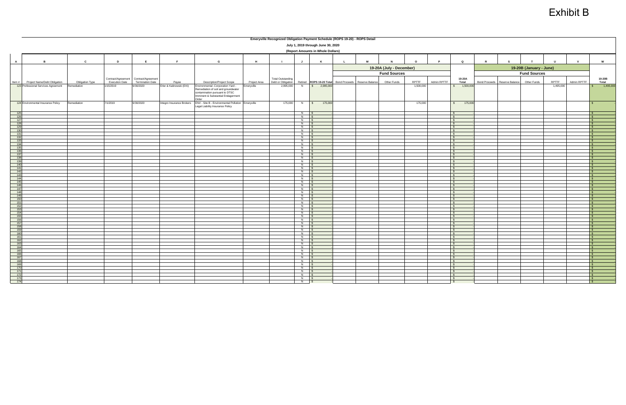|                                                                                                                                                                                                        |                                     |                 |                                       |                         |                          |                                                                          |              | Emeryville Recognized Obligation Payment Schedule (ROPS 19-20) - ROPS Detail |                          |                          |             |                               |                          |           |             |                                     |                      |                 |                         |           |             |                              |
|--------------------------------------------------------------------------------------------------------------------------------------------------------------------------------------------------------|-------------------------------------|-----------------|---------------------------------------|-------------------------|--------------------------|--------------------------------------------------------------------------|--------------|------------------------------------------------------------------------------|--------------------------|--------------------------|-------------|-------------------------------|--------------------------|-----------|-------------|-------------------------------------|----------------------|-----------------|-------------------------|-----------|-------------|------------------------------|
|                                                                                                                                                                                                        | July 1, 2019 through June 30, 2020  |                 |                                       |                         |                          |                                                                          |              |                                                                              |                          |                          |             |                               |                          |           |             |                                     |                      |                 |                         |           |             |                              |
|                                                                                                                                                                                                        | (Report Amounts in Whole Dollars)   |                 |                                       |                         |                          |                                                                          |              |                                                                              |                          |                          |             |                               |                          |           |             |                                     |                      |                 |                         |           |             |                              |
|                                                                                                                                                                                                        |                                     |                 |                                       |                         |                          |                                                                          |              |                                                                              |                          |                          |             |                               |                          |           |             |                                     |                      |                 |                         |           |             |                              |
| $\overline{A}$                                                                                                                                                                                         | $\overline{B}$                      | $\mathbf{c}$    | D                                     | E                       | E                        | G                                                                        | H            |                                                                              | J                        | K                        | $\mathsf L$ | M                             | N                        | $\circ$   |             | $\mathbf Q$                         |                      |                 |                         | <b>U</b>  | $\mathbf v$ | W                            |
|                                                                                                                                                                                                        |                                     |                 |                                       |                         |                          |                                                                          |              |                                                                              |                          |                          |             |                               | 19-20A (July - December) |           |             |                                     |                      |                 | 19-20B (January - June) |           |             |                              |
|                                                                                                                                                                                                        |                                     |                 |                                       |                         |                          |                                                                          |              |                                                                              |                          |                          |             |                               | <b>Fund Sources</b>      |           |             |                                     |                      |                 | <b>Fund Sources</b>     |           |             |                              |
|                                                                                                                                                                                                        |                                     |                 | Contract/Agreement Contract/Agreement |                         |                          |                                                                          |              | <b>Total Outstanding</b>                                                     |                          |                          |             |                               |                          |           |             | 19-20A                              |                      |                 |                         |           |             | 19-20B                       |
|                                                                                                                                                                                                        | Item # Project Name/Debt Obligation | Obligation Type | <b>Execution Date</b>                 | <b>Termination Date</b> | Payee                    | <b>Description/Project Scope</b>                                         | Project Area | Debt or Obligation                                                           |                          | Retired ROPS 19-20 Total |             | Bond Proceeds Reserve Balance | Other Funds              | RPTTF     | Admin RPTTF | Total                               | <b>Bond Proceeds</b> | Reserve Balance | Other Funds             | RPTTF     | Admin RPTTF | Total                        |
|                                                                                                                                                                                                        | 123 Professional Services Agreement | Remediation     | /15/2019                              | 6/30/2020               | Erler & Kalinowski (EKI) | Environmental -Corporation Yard -<br>Remediation of soil and groundwater | Emeryville   | 2,995,000                                                                    | $\overline{N}$           | \$2,995,000              |             |                               |                          | 1,500,000 |             | 1,500,000                           |                      |                 |                         | 1,495,000 |             | 1,495,000                    |
|                                                                                                                                                                                                        |                                     |                 |                                       |                         |                          | contamination pursuant to DTSC                                           |              |                                                                              |                          |                          |             |                               |                          |           |             |                                     |                      |                 |                         |           |             |                              |
|                                                                                                                                                                                                        |                                     |                 |                                       |                         |                          | Imminent & Substantial Endagerment<br>Order                              |              |                                                                              |                          |                          |             |                               |                          |           |             |                                     |                      |                 |                         |           |             |                              |
|                                                                                                                                                                                                        | 124 Environmental Insurance Policy  | Remediation     | 7/1/2019                              | 6/30/2020               | ntegro Insurance Brokers | ENV - Site B - Environmental Pollution Emeryville                        |              | 175,000                                                                      | N                        | 175,000<br>$\sqrt{s}$    |             |                               |                          | 175,000   |             | 175,000<br>$\mathbb{S}$             |                      |                 |                         |           |             |                              |
|                                                                                                                                                                                                        |                                     |                 |                                       |                         |                          | Legal Liability Insurance Policy                                         |              |                                                                              |                          |                          |             |                               |                          |           |             |                                     |                      |                 |                         |           |             |                              |
|                                                                                                                                                                                                        |                                     |                 |                                       |                         |                          |                                                                          |              |                                                                              | $N$ $S$                  |                          |             |                               |                          |           |             | $\mathcal{S}$<br>$\sqrt{s}$         |                      |                 |                         |           |             |                              |
|                                                                                                                                                                                                        |                                     |                 |                                       |                         |                          |                                                                          |              |                                                                              | $N$ $S$<br>$N$ $S$       |                          |             |                               |                          |           |             | $\bullet$                           |                      |                 |                         |           |             | $\sim$                       |
|                                                                                                                                                                                                        |                                     |                 |                                       |                         |                          |                                                                          |              |                                                                              | $N$ \$                   |                          |             |                               |                          |           |             | $\bullet$                           |                      |                 |                         |           |             |                              |
| 125<br>126<br>127<br>128<br>129<br>130<br>131<br>132                                                                                                                                                   |                                     |                 |                                       |                         |                          |                                                                          |              |                                                                              | $N$ $S$<br>$N$ \$        |                          |             |                               |                          |           |             | $\hat{\mathbf{r}}$<br>$\mathcal{S}$ |                      |                 |                         |           |             |                              |
|                                                                                                                                                                                                        |                                     |                 |                                       |                         |                          |                                                                          |              |                                                                              | $N$ \$<br>$N$ $\sqrt{S}$ |                          |             |                               |                          |           |             | IS.                                 |                      |                 |                         |           |             | - 85                         |
| 133                                                                                                                                                                                                    |                                     |                 |                                       |                         |                          |                                                                          |              |                                                                              | $N$ \$                   |                          |             |                               |                          |           |             | $\sim$<br>$\sqrt{S}$                |                      |                 |                         |           |             | ∣ SS.                        |
|                                                                                                                                                                                                        |                                     |                 |                                       |                         |                          |                                                                          |              |                                                                              | $N$ \$                   |                          |             |                               |                          |           |             | $\mathsf{S}$                        |                      |                 |                         |           |             | $\mathbb{S}$                 |
|                                                                                                                                                                                                        |                                     |                 |                                       |                         |                          |                                                                          |              |                                                                              | $N$ \$<br>$N$ $\sqrt{S}$ |                          |             |                               |                          |           |             | $\sqrt{s}$<br>$\sqrt{s}$            |                      |                 |                         |           |             | $\sqrt{s}$<br>$\mathbb{R}$   |
|                                                                                                                                                                                                        |                                     |                 |                                       |                         |                          |                                                                          |              |                                                                              | $N$ \$                   |                          |             |                               |                          |           |             | $\sqrt{s}$<br>$\sqrt{s}$            |                      |                 |                         |           |             | I S.                         |
|                                                                                                                                                                                                        |                                     |                 |                                       |                         |                          |                                                                          |              |                                                                              | $N$ \$<br>$N$ \$         |                          |             |                               |                          |           |             | $\mathbb{S}$                        |                      |                 |                         |           |             |                              |
|                                                                                                                                                                                                        |                                     |                 |                                       |                         |                          |                                                                          |              |                                                                              | $N$ $\sqrt{S}$           |                          |             |                               |                          |           |             | $\mathsf{S}$                        |                      |                 |                         |           |             |                              |
|                                                                                                                                                                                                        |                                     |                 |                                       |                         |                          |                                                                          |              |                                                                              | $N$ $S$<br>$N$ \$        |                          |             |                               |                          |           |             | $\mathcal{R}$<br>$\mathcal{L}$      |                      |                 |                         |           |             |                              |
|                                                                                                                                                                                                        |                                     |                 |                                       |                         |                          |                                                                          |              |                                                                              | $N$ \$                   |                          |             |                               |                          |           |             | $\mathcal{S}$                       |                      |                 |                         |           |             |                              |
|                                                                                                                                                                                                        |                                     |                 |                                       |                         |                          |                                                                          |              |                                                                              | $N$ \$<br>$N$ \$         |                          |             |                               |                          |           |             | $\mathbf{s}$<br>$\mathsf{S}$        |                      |                 |                         |           |             | $\mathsf{S}$                 |
|                                                                                                                                                                                                        |                                     |                 |                                       |                         |                          |                                                                          |              |                                                                              | $N$ $S$<br>$N$ \$        |                          |             |                               |                          |           |             | $\mathsf{S}$                        |                      |                 |                         |           |             | $\mathbb{S}$                 |
|                                                                                                                                                                                                        |                                     |                 |                                       |                         |                          |                                                                          |              |                                                                              | $N$ $S$                  |                          |             |                               |                          |           |             | $\mathsf{S}$<br>$\sqrt{s}$          |                      |                 |                         |           |             | IS.<br>$\mathbb{R}$          |
|                                                                                                                                                                                                        |                                     |                 |                                       |                         |                          |                                                                          |              |                                                                              | $N$ \$<br>$N$ \$         |                          |             |                               |                          |           |             | $\mathbf{s}$<br>$\mathbb{S}$        |                      |                 |                         |           |             | $\sim$                       |
|                                                                                                                                                                                                        |                                     |                 |                                       |                         |                          |                                                                          |              |                                                                              | $N$ \$                   |                          |             |                               |                          |           |             | $\mathbb{S}$                        |                      |                 |                         |           |             |                              |
| $\frac{134}{1368}$ $\frac{136}{138}$ $\frac{138}{139}$ $\frac{144}{144}$ $\frac{144}{144}$ $\frac{144}{144}$ $\frac{144}{144}$ $\frac{144}{144}$ $\frac{144}{150}$ $\frac{154}{152}$ $\frac{155}{156}$ |                                     |                 |                                       |                         |                          |                                                                          |              |                                                                              | $N$ $\sqrt{s}$<br>$N$ \$ |                          |             |                               |                          |           |             | $\mathcal{S}$                       |                      |                 |                         |           |             |                              |
|                                                                                                                                                                                                        |                                     |                 |                                       |                         |                          |                                                                          |              |                                                                              | $N$ \$                   |                          |             |                               |                          |           |             | $\mathcal{R}$                       |                      |                 |                         |           |             | $\mathbf{s}$                 |
|                                                                                                                                                                                                        |                                     |                 |                                       |                         |                          |                                                                          |              |                                                                              | $N$ $\sqrt{S}$           |                          |             |                               |                          |           |             | $\mathsf{S}$                        |                      |                 |                         |           |             | IS.                          |
|                                                                                                                                                                                                        |                                     |                 |                                       |                         |                          |                                                                          |              |                                                                              | $N$ $\sqrt{S}$<br>$N$ \$ |                          |             |                               |                          |           |             | $\sqrt{S}$<br>$\mathsf{S}$          |                      |                 |                         |           |             |                              |
|                                                                                                                                                                                                        |                                     |                 |                                       |                         |                          |                                                                          |              |                                                                              | $N$ \$<br>$N$ \$         |                          |             |                               |                          |           |             | $\mathsf{S}$<br>$\sqrt{s}$          |                      |                 |                         |           |             | $\mathsf{S}$<br>$\mathbb{R}$ |
|                                                                                                                                                                                                        |                                     |                 |                                       |                         |                          |                                                                          |              |                                                                              | $N$ \$                   |                          |             |                               |                          |           |             | $\mathbf{s}$                        |                      |                 |                         |           |             | I S.                         |
|                                                                                                                                                                                                        |                                     |                 |                                       |                         |                          |                                                                          |              |                                                                              | $N$ \$<br>$N$ \$         |                          |             |                               |                          |           |             | $\sqrt{S}$<br>$\sqrt{s}$            |                      |                 |                         |           |             |                              |
|                                                                                                                                                                                                        |                                     |                 |                                       |                         |                          |                                                                          |              |                                                                              | $N$ $S$                  |                          |             |                               |                          |           |             |                                     |                      |                 |                         |           |             |                              |
|                                                                                                                                                                                                        |                                     |                 |                                       |                         |                          |                                                                          |              |                                                                              | N <sub>S</sub>           |                          |             |                               |                          |           |             | $\mathcal{S}$                       |                      |                 |                         |           |             |                              |
| 158<br>159<br>160<br>161<br>162<br>163<br>166<br>167<br>168<br>170<br>171<br>172                                                                                                                       |                                     |                 |                                       |                         |                          |                                                                          |              |                                                                              | N \$<br>$N$ \$           |                          |             |                               |                          |           |             | $\mathsf{S}$<br>$\mathbf{s}$        |                      |                 |                         |           |             | ∣\$.                         |
|                                                                                                                                                                                                        |                                     |                 |                                       |                         |                          |                                                                          |              |                                                                              | <b>N</b> \$              |                          |             |                               |                          |           |             | $\mathbf{s}$<br>$\mathcal{S}$       |                      |                 |                         |           |             |                              |
|                                                                                                                                                                                                        |                                     |                 |                                       |                         |                          |                                                                          |              |                                                                              | $N$ $S$<br>$N$ \$        |                          |             |                               |                          |           |             | $\mathbb{S}$                        |                      |                 |                         |           |             | $\mathbf{s}$                 |
|                                                                                                                                                                                                        |                                     |                 |                                       |                         |                          |                                                                          |              |                                                                              | $N$ \$<br>$N$ $S$        |                          |             |                               |                          |           |             | $\mathbf{s}$<br>$\sqrt{s}$          |                      |                 |                         |           |             | $\mathbb{R}$<br><b>SPR</b>   |
|                                                                                                                                                                                                        |                                     |                 |                                       |                         |                          |                                                                          |              |                                                                              | $N$ $\sqrt{S}$           |                          |             |                               |                          |           |             | $\sqrt{s}$                          |                      |                 |                         |           |             |                              |
| 173<br>174                                                                                                                                                                                             |                                     |                 |                                       |                         |                          |                                                                          |              |                                                                              | $N$ \$                   |                          |             |                               |                          |           |             | $\mathcal{S}$                       |                      |                 |                         |           |             |                              |
|                                                                                                                                                                                                        |                                     |                 |                                       |                         |                          |                                                                          |              |                                                                              | $\overline{N}$           | $\sim$                   |             |                               |                          |           |             | $\mathbf{\$}$                       |                      |                 |                         |           |             | $\mathbb{R}$                 |

| - וואושט פיזטא - RUP פיזטא |                 |                           |              |             |                                       |                 |                      |                 |                         |              |             |                                        |                 |
|----------------------------|-----------------|---------------------------|--------------|-------------|---------------------------------------|-----------------|----------------------|-----------------|-------------------------|--------------|-------------|----------------------------------------|-----------------|
| )20                        |                 |                           |              |             |                                       |                 |                      |                 |                         |              |             |                                        |                 |
| <u>ırs)</u>                |                 |                           |              |             |                                       |                 |                      |                 |                         |              |             |                                        |                 |
|                            |                 |                           |              |             |                                       |                 |                      |                 |                         |              |             |                                        |                 |
|                            |                 |                           |              |             |                                       |                 |                      |                 |                         |              |             |                                        |                 |
| L                          | M               | $\boldsymbol{\mathsf{N}}$ | $\mathsf{o}$ | $\mathsf P$ |                                       | Q               | ${\sf R}$            | $\mathbf{s}$    | $\mathbf T$             | U            | $\mathbf v$ |                                        | W               |
|                            |                 | 19-20A (July - December)  |              |             |                                       |                 |                      |                 | 19-20B (January - June) |              |             |                                        |                 |
|                            |                 | <b>Fund Sources</b>       |              |             |                                       |                 |                      |                 | <b>Fund Sources</b>     |              |             |                                        |                 |
|                            |                 |                           |              |             |                                       |                 |                      |                 |                         |              |             |                                        |                 |
| <b>Bond Proceeds</b>       | Reserve Balance | Other Funds               | RPTTF        | Admin RPTTF |                                       | 19-20A<br>Total | <b>Bond Proceeds</b> | Reserve Balance | Other Funds             | <b>RPTTF</b> | Admin RPTTF |                                        | 19-20B<br>Total |
|                            |                 |                           | 1,500,000    |             | $\mathfrak s$                         | 1,500,000       |                      |                 |                         | 1,495,000    |             | $\pmb{\mathfrak{s}}$                   | 1,495,000       |
|                            |                 |                           |              |             |                                       |                 |                      |                 |                         |              |             |                                        |                 |
|                            |                 |                           |              |             |                                       |                 |                      |                 |                         |              |             |                                        |                 |
|                            |                 |                           |              |             |                                       |                 |                      |                 |                         |              |             |                                        |                 |
|                            |                 |                           | 175,000      |             | $\pmb{\mathfrak{s}}$                  | 175,000         |                      |                 |                         |              |             | $\sqrt{2}$                             |                 |
|                            |                 |                           |              |             |                                       |                 |                      |                 |                         |              |             |                                        |                 |
|                            |                 |                           |              |             | $\sqrt[6]{3}$                         |                 |                      |                 |                         |              |             | $\mathfrak{s}$                         |                 |
|                            |                 |                           |              |             | $\sqrt[6]{3}$                         |                 |                      |                 |                         |              |             | $\mathbf{\hat{s}}$                     |                 |
|                            |                 |                           |              |             | $\mathbb{S}$                          |                 |                      |                 |                         |              |             | $\mathbb{S}$                           |                 |
|                            |                 |                           |              |             | $\sqrt{3}$                            |                 |                      |                 |                         |              |             | $\frac{1}{2}$                          |                 |
|                            |                 |                           |              |             | $\sqrt{3}$<br>$\sqrt{3}$              |                 |                      |                 |                         |              |             | $\sqrt{3}$<br>$\overline{\mathcal{S}}$ |                 |
|                            |                 |                           |              |             | $\pmb{\mathfrak{s}}$                  |                 |                      |                 |                         |              |             | $\mathbb{S}$                           |                 |
|                            |                 |                           |              |             | $\sqrt[6]{3}$                         |                 |                      |                 |                         |              |             | $\mathbb{S}$                           |                 |
|                            |                 |                           |              |             | $\frac{1}{2}$                         |                 |                      |                 |                         |              |             | $\boldsymbol{\theta}$                  |                 |
|                            |                 |                           |              |             | $\pmb{\mathfrak{s}}$<br>$\sqrt[6]{3}$ |                 |                      |                 |                         |              |             | $\frac{1}{2}$<br>$\sqrt[6]{3}$         |                 |
|                            |                 |                           |              |             | $\sqrt{3}$                            |                 |                      |                 |                         |              |             | $\mathbb{S}$                           |                 |
|                            |                 |                           |              |             | $\sqrt{3}$                            |                 |                      |                 |                         |              |             | $\mathbf{s}$                           |                 |
|                            |                 |                           |              |             | $\sqrt{2}$                            |                 |                      |                 |                         |              |             | $\sqrt{3}$                             |                 |
|                            |                 |                           |              |             | $\sqrt{3}$<br>$\sqrt{3}$              |                 |                      |                 |                         |              |             | $\sqrt{3}$<br>$\sqrt{3}$               |                 |
|                            |                 |                           |              |             | $$\mathbb{S}$$                        |                 |                      |                 |                         |              |             | $\sqrt{2}$                             |                 |
|                            |                 |                           |              |             | $\sqrt{2}$                            |                 |                      |                 |                         |              |             | $\sqrt{3}$                             |                 |
|                            |                 |                           |              |             | $\sqrt{3}$                            |                 |                      |                 |                         |              |             | $\sqrt{3}$                             |                 |
|                            |                 |                           |              |             | $\pmb{\mathfrak{s}}$<br>$\sqrt{3}$    |                 |                      |                 |                         |              |             | $\bullet$<br>$\sqrt[6]{3}$             |                 |
|                            |                 |                           |              |             | $\sqrt{3}$                            |                 |                      |                 |                         |              |             | $\sqrt[6]{3}$                          |                 |
|                            |                 |                           |              |             | $\pmb{\mathfrak{s}}$                  |                 |                      |                 |                         |              |             | $\frac{1}{2}$                          |                 |
|                            |                 |                           |              |             | $\sqrt{2}$<br>$\sqrt{3}$              |                 |                      |                 |                         |              |             | $\sqrt{3}$<br>$\overline{\mathcal{S}}$ |                 |
|                            |                 |                           |              |             | $\pmb{\mathfrak{s}}$                  |                 |                      |                 |                         |              |             | $\boldsymbol{\theta}$                  |                 |
|                            |                 |                           |              |             | $\sqrt[6]{\frac{1}{2}}$               |                 |                      |                 |                         |              |             | $\sqrt[6]{3}$                          |                 |
|                            |                 |                           |              |             | $\sqrt[6]{\frac{1}{2}}$               |                 |                      |                 |                         |              |             | $$\mathbb{S}$$                         |                 |
|                            |                 |                           |              |             | $\sqrt{3}$<br>$\sqrt{3}$              |                 |                      |                 |                         |              |             | $\sqrt{3}$<br>$\sqrt[3]{5}$            |                 |
|                            |                 |                           |              |             | $\mathbb{S}$                          |                 |                      |                 |                         |              |             | $\mathbf{s}$                           |                 |
|                            |                 |                           |              |             | $\mathbb{S}$                          |                 |                      |                 |                         |              |             | $\mathbf{s}$                           |                 |
|                            |                 |                           |              |             | $\mathbf{\hat{s}}$                    |                 |                      |                 |                         |              |             | $\frac{1}{2}$                          |                 |
|                            |                 |                           |              |             | $\sqrt{2}$<br>$\sqrt{2}$              |                 |                      |                 |                         |              |             | $\sqrt{3}$<br>$\overline{\mathcal{S}}$ |                 |
|                            |                 |                           |              |             | $\sqrt{2}$                            |                 |                      |                 |                         |              |             | $\frac{1}{2}$                          |                 |
|                            |                 |                           |              |             | $\sqrt[6]{\frac{1}{2}}$               |                 |                      |                 |                         |              |             | $\mathbb{S}$                           |                 |
|                            |                 |                           |              |             | $\pmb{\mathfrak{s}}$                  |                 |                      |                 |                         |              |             | $\boldsymbol{\theta}$                  |                 |
|                            |                 |                           |              |             | $\pmb{\mathfrak{s}}$                  |                 |                      |                 |                         |              |             | $\sqrt{3}$                             |                 |
|                            |                 |                           |              |             | $\sqrt{3}$<br>$\sqrt[6]{3}$           |                 |                      |                 |                         |              |             | $\sqrt[6]{3}$<br>$\sqrt[3]{5}$         |                 |
|                            |                 |                           |              |             | $\mathbb{S}$                          |                 |                      |                 |                         |              |             | $\mathbf{\hat{s}}$                     |                 |
|                            |                 |                           |              |             | $\sqrt{3}$                            |                 |                      |                 |                         |              |             | $\frac{1}{2}$                          |                 |
|                            |                 |                           |              |             | $\sqrt{2}$<br>$\sqrt{3}$              |                 |                      |                 |                         |              |             | $\sqrt{3}$<br>$\frac{1}{2}$            |                 |
|                            |                 |                           |              |             | $$\mathbb{S}$$                        |                 |                      |                 |                         |              |             | $\sqrt{3}$                             |                 |
|                            |                 |                           |              |             | $\sqrt[6]{3}$                         |                 |                      |                 |                         |              |             | $\sqrt[6]{3}$                          |                 |
|                            |                 |                           |              |             | $\frac{1}{2}$                         |                 |                      |                 |                         |              |             | $\pmb{\mathfrak{s}}$                   |                 |
|                            |                 |                           |              |             | $\sqrt{2}$<br>$\sqrt{2}$              |                 |                      |                 |                         |              |             | $\sqrt{3}$<br>$\sqrt[6]{3}$            |                 |
|                            |                 |                           |              |             |                                       |                 |                      |                 |                         |              |             |                                        |                 |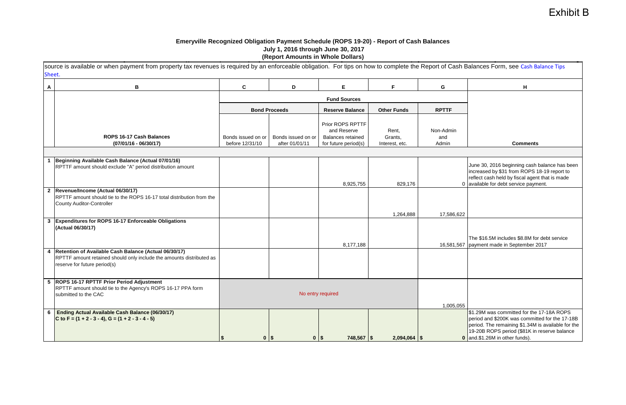### **Emeryville Recognized Obligation Payment Schedule (ROPS 19-20) - Report of Cash Balances July 1, 2016 through June 30, 2017 Example 2016 (Report Amounts in Whole Dollars)** (Report Amounts in Whole Dollars)

|              | source is available or when payment from property tax revenues is required by an enforceable obligation. For tips on how to complete the Report of Cash Balances Form, see Cash Balance Tips<br>Sheet. |                                       |                                      |                                                                                     |                                    |                           |                                                                                                                                                                                                                                     |  |  |  |
|--------------|--------------------------------------------------------------------------------------------------------------------------------------------------------------------------------------------------------|---------------------------------------|--------------------------------------|-------------------------------------------------------------------------------------|------------------------------------|---------------------------|-------------------------------------------------------------------------------------------------------------------------------------------------------------------------------------------------------------------------------------|--|--|--|
| A            | В                                                                                                                                                                                                      | C                                     | D                                    | E.                                                                                  | F.                                 | G                         | н                                                                                                                                                                                                                                   |  |  |  |
|              |                                                                                                                                                                                                        |                                       |                                      | <b>Fund Sources</b>                                                                 |                                    |                           |                                                                                                                                                                                                                                     |  |  |  |
|              |                                                                                                                                                                                                        |                                       | <b>Bond Proceeds</b>                 | <b>Reserve Balance</b>                                                              | <b>Other Funds</b>                 | <b>RPTTF</b>              |                                                                                                                                                                                                                                     |  |  |  |
|              | ROPS 16-17 Cash Balances<br>$(07/01/16 - 06/30/17)$                                                                                                                                                    | Bonds issued on or<br>before 12/31/10 | Bonds issued on or<br>after 01/01/11 | Prior ROPS RPTTF<br>and Reserve<br><b>Balances retained</b><br>for future period(s) | Rent,<br>Grants,<br>Interest, etc. | Non-Admin<br>and<br>Admin | <b>Comments</b>                                                                                                                                                                                                                     |  |  |  |
|              |                                                                                                                                                                                                        |                                       |                                      |                                                                                     |                                    |                           |                                                                                                                                                                                                                                     |  |  |  |
|              | Beginning Available Cash Balance (Actual 07/01/16)<br>RPTTF amount should exclude "A" period distribution amount                                                                                       |                                       |                                      | 8,925,755                                                                           | 829,176                            |                           | June 30, 2016 beginning cash balance has been<br>increased by \$31 from ROPS 18-19 report to<br>reflect cash held by fiscal agent that is made<br>0 available for debt service payment.                                             |  |  |  |
|              | 2  Revenue/Income (Actual 06/30/17)<br>RPTTF amount should tie to the ROPS 16-17 total distribution from the<br><b>County Auditor-Controller</b>                                                       |                                       |                                      |                                                                                     | 1,264,888                          | 17,586,622                |                                                                                                                                                                                                                                     |  |  |  |
| $\mathbf{3}$ | <b>Expenditures for ROPS 16-17 Enforceable Obligations</b><br>(Actual 06/30/17)                                                                                                                        |                                       |                                      | 8,177,188                                                                           |                                    |                           | The \$16.5M includes \$8.8M for debt service<br>16,581,567   payment made in September 2017                                                                                                                                         |  |  |  |
|              | 4 Retention of Available Cash Balance (Actual 06/30/17)<br>RPTTF amount retained should only include the amounts distributed as<br>reserve for future period(s)                                        |                                       |                                      |                                                                                     |                                    |                           |                                                                                                                                                                                                                                     |  |  |  |
|              | 5 ROPS 16-17 RPTTF Prior Period Adjustment<br>RPTTF amount should tie to the Agency's ROPS 16-17 PPA form<br>submitted to the CAC                                                                      |                                       | No entry required                    |                                                                                     |                                    | 1,005,055                 |                                                                                                                                                                                                                                     |  |  |  |
| 6            | Ending Actual Available Cash Balance (06/30/17)<br>C to F = $(1 + 2 - 3 - 4)$ , G = $(1 + 2 - 3 - 4 - 5)$                                                                                              | $0$   \$                              | $0$   \$                             | $748,567$ \\$                                                                       | $2,094,064$ \$                     |                           | \$1.29M was committed for the 17-18A ROPS<br>period and \$200K was committed for the 17-18B<br>period. The remaining \$1.34M is available for the<br>19-20B ROPS period (\$81K in reserve balance<br>0 and.\$1.26M in other funds). |  |  |  |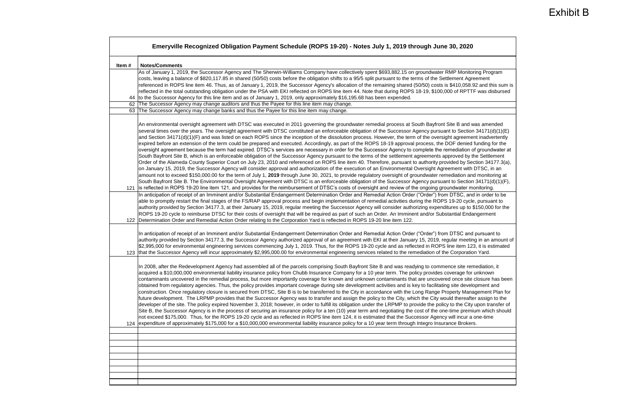|       | Emeryville Recognized Obligation Payment Schedule (ROPS 19-20) - Notes July 1, 2019 through June 30, 2020                                                                                                                                                                                                                                                                                                                                                                                                                                                                                                                                                                                                                                                                                                                                                                                                                                                                                                                                                                                                                                                                                                                                                                                                                                                                                                                                                                                                                                                                                                                                                                                                                                                                                                                                                                                                                                                                                                                                                                                                                                                                                                                                                                                                                                                               |
|-------|-------------------------------------------------------------------------------------------------------------------------------------------------------------------------------------------------------------------------------------------------------------------------------------------------------------------------------------------------------------------------------------------------------------------------------------------------------------------------------------------------------------------------------------------------------------------------------------------------------------------------------------------------------------------------------------------------------------------------------------------------------------------------------------------------------------------------------------------------------------------------------------------------------------------------------------------------------------------------------------------------------------------------------------------------------------------------------------------------------------------------------------------------------------------------------------------------------------------------------------------------------------------------------------------------------------------------------------------------------------------------------------------------------------------------------------------------------------------------------------------------------------------------------------------------------------------------------------------------------------------------------------------------------------------------------------------------------------------------------------------------------------------------------------------------------------------------------------------------------------------------------------------------------------------------------------------------------------------------------------------------------------------------------------------------------------------------------------------------------------------------------------------------------------------------------------------------------------------------------------------------------------------------------------------------------------------------------------------------------------------------|
| Item# | <b>Notes/Comments</b>                                                                                                                                                                                                                                                                                                                                                                                                                                                                                                                                                                                                                                                                                                                                                                                                                                                                                                                                                                                                                                                                                                                                                                                                                                                                                                                                                                                                                                                                                                                                                                                                                                                                                                                                                                                                                                                                                                                                                                                                                                                                                                                                                                                                                                                                                                                                                   |
|       | As of January 1, 2019, the Successor Agency and The Sherwin-Williams Company have collectively spent \$693,882.15 on groundwater RMP Monitoring Program<br>costs, leaving a balance of \$820,117.85 in shared (50/50) costs before the obligation shifts to a 95/5 split pursuant to the terms of the Settlement Agreement<br>referenced in ROPS line item 46. Thus, as of January 1, 2019, the Successor Agency's allocation of the remaining shared (50/50) costs is \$410,058.92 and this sum is<br>reflected in the total outstanding obligation under the PSA with EKI reflected on ROPS line item 44. Note that during ROPS 18-19, \$100,000 of RPTTF was disbursed<br>to the Successor Agency for this line item and as of January 1, 2019, only approximately \$16,195.68 has been expended.                                                                                                                                                                                                                                                                                                                                                                                                                                                                                                                                                                                                                                                                                                                                                                                                                                                                                                                                                                                                                                                                                                                                                                                                                                                                                                                                                                                                                                                                                                                                                                    |
| 62    | The Successor Agency may change auditors and thus the Payee for this line item may change.                                                                                                                                                                                                                                                                                                                                                                                                                                                                                                                                                                                                                                                                                                                                                                                                                                                                                                                                                                                                                                                                                                                                                                                                                                                                                                                                                                                                                                                                                                                                                                                                                                                                                                                                                                                                                                                                                                                                                                                                                                                                                                                                                                                                                                                                              |
|       | 63 The Successor Agency may change banks and thus the Payee for this line item may change.                                                                                                                                                                                                                                                                                                                                                                                                                                                                                                                                                                                                                                                                                                                                                                                                                                                                                                                                                                                                                                                                                                                                                                                                                                                                                                                                                                                                                                                                                                                                                                                                                                                                                                                                                                                                                                                                                                                                                                                                                                                                                                                                                                                                                                                                              |
| 121   | An environmental oversight agreement with DTSC was executed in 2011 governing the groundwater remedial process at South Bayfront Site B and was amended<br>several times over the years. The oversight agreement with DTSC constituted an enforceable obligation of the Successor Agency pursuant to Section 34171(d)(1)(E)<br>and Section 34171(d)(1)(F) and was listed on each ROPS since the inception of the dissolution process. However, the term of the oversight agreement inadvertently<br>expired before an extension of the term could be prepared and executed. Accordingly, as part of the ROPS 18-19 approval process, the DOF denied funding for the<br>oversight agreement because the term had expired. DTSC's services are necessary in order for the Successor Agency to complete the remediation of groundwater at<br>South Bayfront Site B, which is an enforceable obligation of the Successor Agency pursuant to the terms of the settlement agreements approved by the Settlement<br>Order of the Alameda County Superior Court on July 23, 2010 and referenced on ROPS line item 40. Therefore, pursuant to authority provided by Section 34177.3(a),<br>on January 15, 2019, the Successor Agency will consider approval and authorization of the execution of an Environmental Oversight Agreement with DTSC, in an<br>amount not to exceed \$150,000.00 for the term of July 1, 2019 through June 30, 2021, to provide regulatory oversight of groundwater remediation and monitoring at<br>South Bayfront Site B. The Environmental Oversight Agreement with DTSC is an enforceable obligation of the Successor Agency pursuant to Section 34171(d)(1)(F),<br>is reflected in ROPS 19-20 line item 121, and provides for the reimbursement of DTSC's costs of oversight and review of the ongoing groundwater monitoring.<br>In anticipation of receipt of an Imminent and/or Substantial Endangerment Determination Order and Remedial Action Order ("Order") from DTSC, and in order to be<br>able to promptly restart the final stages of the FS/RAP approval process and begin implementation of remedial activities during the ROPS 19-20 cycle, pursuant to<br>authority provided by Section 34177.3, at their January 15, 2019, regular meeting the Successor Agency will consider authorizing expenditures up to \$150,000 for the |
| 122   | ROPS 19-20 cycle to reimburse DTSC for their costs of oversight that will be required as part of such an Order. An Imminent and/or Substantial Endangerment<br>Determination Order and Remedial Action Order relating to the Corporation Yard is reflected in ROPS 19-20 line item 122.<br>In anticipation of receipt of an Imminent and/or Substantial Endangerment Determination Order and Remedial Action Order ("Order") from DTSC and pursuant to<br>authority provided by Section 34177.3, the Successor Agency authorized approval of an agreement with EKI at their January 15, 2019, regular meeting in an amount of<br>\$2,995,000 for environmental engineering services commencing July 1, 2019. Thus, for the ROPS 19-20 cycle and as reflected in ROPS line item 123, it is estimated<br>123 that the Successor Agency will incur approximately \$2,995,000.00 for environmental engineering services related to the remediation of the Corporation Yard.                                                                                                                                                                                                                                                                                                                                                                                                                                                                                                                                                                                                                                                                                                                                                                                                                                                                                                                                                                                                                                                                                                                                                                                                                                                                                                                                                                                                 |
|       | In 2008, after the Redevelopment Agency had assembled all of the parcels comprising South Bayfront Site B and was readying to commence site remediation, it<br>acquired a \$10,000,000 environmental liability insurance policy from Chubb Insurance Company for a 10 year term. The policy provides coverage for unknown<br>contaminants uncovered in the remedial process, but more importantly coverage for known and unknown contaminants that are uncovered once site closure has been<br>obtained from regulatory agencies. Thus, the policy provides important coverage during site development activities and is key to facilitating site development and<br>construction. Once regulatory closure is secured from DTSC, Site B is to be transferred to the City in accordance with the Long Range Property Management Plan for<br>future development. The LRPMP provides that the Successor Agency was to transfer and assign the policy to the City, which the City would thereafter assign to the<br>developer of the site. The policy expired November 3, 2018; however, in order to fulfill its obligation under the LRPMP to provide the policy to the City upon transfer of<br>Site B, the Successor Agency is in the process of securing an insurance policy for a ten (10) year term and negotiating the cost of the one-time premium which should<br>not exceed \$175,000. Thus, for the ROPS 19-20 cycle and as reflected in ROPS line item 124, it is estimated that the Successor Agency will incur a one-time<br>124 expenditure of approximately \$175,000 for a \$10,000,000 environmental liability insurance policy for a 10 year term through Integro Insurance Brokers.                                                                                                                                                                                                                                                                                                                                                                                                                                                                                                                                                                                                                                                                     |
|       |                                                                                                                                                                                                                                                                                                                                                                                                                                                                                                                                                                                                                                                                                                                                                                                                                                                                                                                                                                                                                                                                                                                                                                                                                                                                                                                                                                                                                                                                                                                                                                                                                                                                                                                                                                                                                                                                                                                                                                                                                                                                                                                                                                                                                                                                                                                                                                         |
|       |                                                                                                                                                                                                                                                                                                                                                                                                                                                                                                                                                                                                                                                                                                                                                                                                                                                                                                                                                                                                                                                                                                                                                                                                                                                                                                                                                                                                                                                                                                                                                                                                                                                                                                                                                                                                                                                                                                                                                                                                                                                                                                                                                                                                                                                                                                                                                                         |
|       |                                                                                                                                                                                                                                                                                                                                                                                                                                                                                                                                                                                                                                                                                                                                                                                                                                                                                                                                                                                                                                                                                                                                                                                                                                                                                                                                                                                                                                                                                                                                                                                                                                                                                                                                                                                                                                                                                                                                                                                                                                                                                                                                                                                                                                                                                                                                                                         |
|       |                                                                                                                                                                                                                                                                                                                                                                                                                                                                                                                                                                                                                                                                                                                                                                                                                                                                                                                                                                                                                                                                                                                                                                                                                                                                                                                                                                                                                                                                                                                                                                                                                                                                                                                                                                                                                                                                                                                                                                                                                                                                                                                                                                                                                                                                                                                                                                         |
|       |                                                                                                                                                                                                                                                                                                                                                                                                                                                                                                                                                                                                                                                                                                                                                                                                                                                                                                                                                                                                                                                                                                                                                                                                                                                                                                                                                                                                                                                                                                                                                                                                                                                                                                                                                                                                                                                                                                                                                                                                                                                                                                                                                                                                                                                                                                                                                                         |
|       |                                                                                                                                                                                                                                                                                                                                                                                                                                                                                                                                                                                                                                                                                                                                                                                                                                                                                                                                                                                                                                                                                                                                                                                                                                                                                                                                                                                                                                                                                                                                                                                                                                                                                                                                                                                                                                                                                                                                                                                                                                                                                                                                                                                                                                                                                                                                                                         |
|       |                                                                                                                                                                                                                                                                                                                                                                                                                                                                                                                                                                                                                                                                                                                                                                                                                                                                                                                                                                                                                                                                                                                                                                                                                                                                                                                                                                                                                                                                                                                                                                                                                                                                                                                                                                                                                                                                                                                                                                                                                                                                                                                                                                                                                                                                                                                                                                         |
|       |                                                                                                                                                                                                                                                                                                                                                                                                                                                                                                                                                                                                                                                                                                                                                                                                                                                                                                                                                                                                                                                                                                                                                                                                                                                                                                                                                                                                                                                                                                                                                                                                                                                                                                                                                                                                                                                                                                                                                                                                                                                                                                                                                                                                                                                                                                                                                                         |
|       |                                                                                                                                                                                                                                                                                                                                                                                                                                                                                                                                                                                                                                                                                                                                                                                                                                                                                                                                                                                                                                                                                                                                                                                                                                                                                                                                                                                                                                                                                                                                                                                                                                                                                                                                                                                                                                                                                                                                                                                                                                                                                                                                                                                                                                                                                                                                                                         |